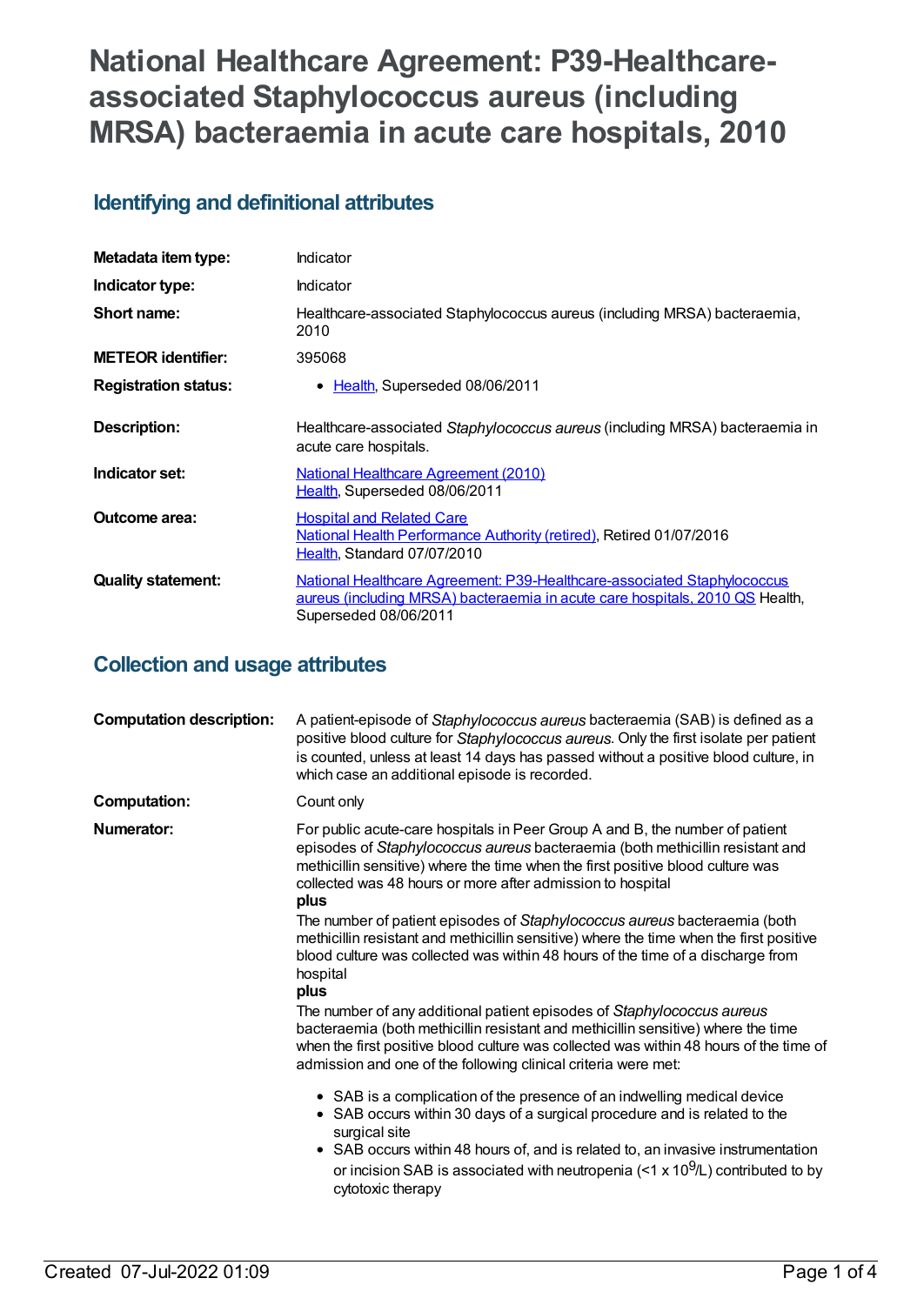# **National Healthcare Agreement: P39-Healthcareassociated Staphylococcus aureus (including MRSA) bacteraemia in acute care hospitals, 2010**

# **Identifying and definitional attributes**

| Metadata item type:         | Indicator                                                                                                                                                                        |
|-----------------------------|----------------------------------------------------------------------------------------------------------------------------------------------------------------------------------|
| Indicator type:             | Indicator                                                                                                                                                                        |
| Short name:                 | Healthcare-associated Staphylococcus aureus (including MRSA) bacteraemia,<br>2010                                                                                                |
| <b>METEOR</b> identifier:   | 395068                                                                                                                                                                           |
| <b>Registration status:</b> | • Health, Superseded 08/06/2011                                                                                                                                                  |
| Description:                | Healthcare-associated Staphylococcus aureus (including MRSA) bacteraemia in<br>acute care hospitals.                                                                             |
| Indicator set:              | <b>National Healthcare Agreement (2010)</b><br>Health, Superseded 08/06/2011                                                                                                     |
| <b>Outcome area:</b>        | <b>Hospital and Related Care</b><br>National Health Performance Authority (retired), Retired 01/07/2016<br>Health, Standard 07/07/2010                                           |
| <b>Quality statement:</b>   | National Healthcare Agreement: P39-Healthcare-associated Staphylococcus<br>aureus (including MRSA) bacteraemia in acute care hospitals, 2010 QS Health,<br>Superseded 08/06/2011 |

## **Collection and usage attributes**

| <b>Computation description:</b> | A patient-episode of Staphylococcus aureus bacteraemia (SAB) is defined as a<br>positive blood culture for Staphylococcus aureus. Only the first isolate per patient<br>is counted, unless at least 14 days has passed without a positive blood culture, in<br>which case an additional episode is recorded.                                                                                                                                                                                   |
|---------------------------------|------------------------------------------------------------------------------------------------------------------------------------------------------------------------------------------------------------------------------------------------------------------------------------------------------------------------------------------------------------------------------------------------------------------------------------------------------------------------------------------------|
| <b>Computation:</b>             | Count only                                                                                                                                                                                                                                                                                                                                                                                                                                                                                     |
| Numerator:                      | For public acute-care hospitals in Peer Group A and B, the number of patient<br>episodes of Staphylococcus aureus bacteraemia (both methicillin resistant and<br>methicillin sensitive) where the time when the first positive blood culture was<br>collected was 48 hours or more after admission to hospital<br>plus<br>The number of patient episodes of Staphylococcus aureus bacteraemia (both<br>methicillin resistant and methicillin sensitive) where the time when the first positive |
|                                 | blood culture was collected was within 48 hours of the time of a discharge from<br>hospital<br>plus                                                                                                                                                                                                                                                                                                                                                                                            |
|                                 | The number of any additional patient episodes of Staphylococcus aureus<br>bacteraemia (both methicillin resistant and methicillin sensitive) where the time<br>when the first positive blood culture was collected was within 48 hours of the time of<br>admission and one of the following clinical criteria were met:                                                                                                                                                                        |
|                                 | • SAB is a complication of the presence of an indwelling medical device<br>• SAB occurs within 30 days of a surgical procedure and is related to the<br>surgical site<br>• SAB occurs within 48 hours of, and is related to, an invasive instrumentation<br>or incision SAB is associated with neutropenia (<1 x $10^9$ /L) contributed to by<br>cytotoxic therapy                                                                                                                             |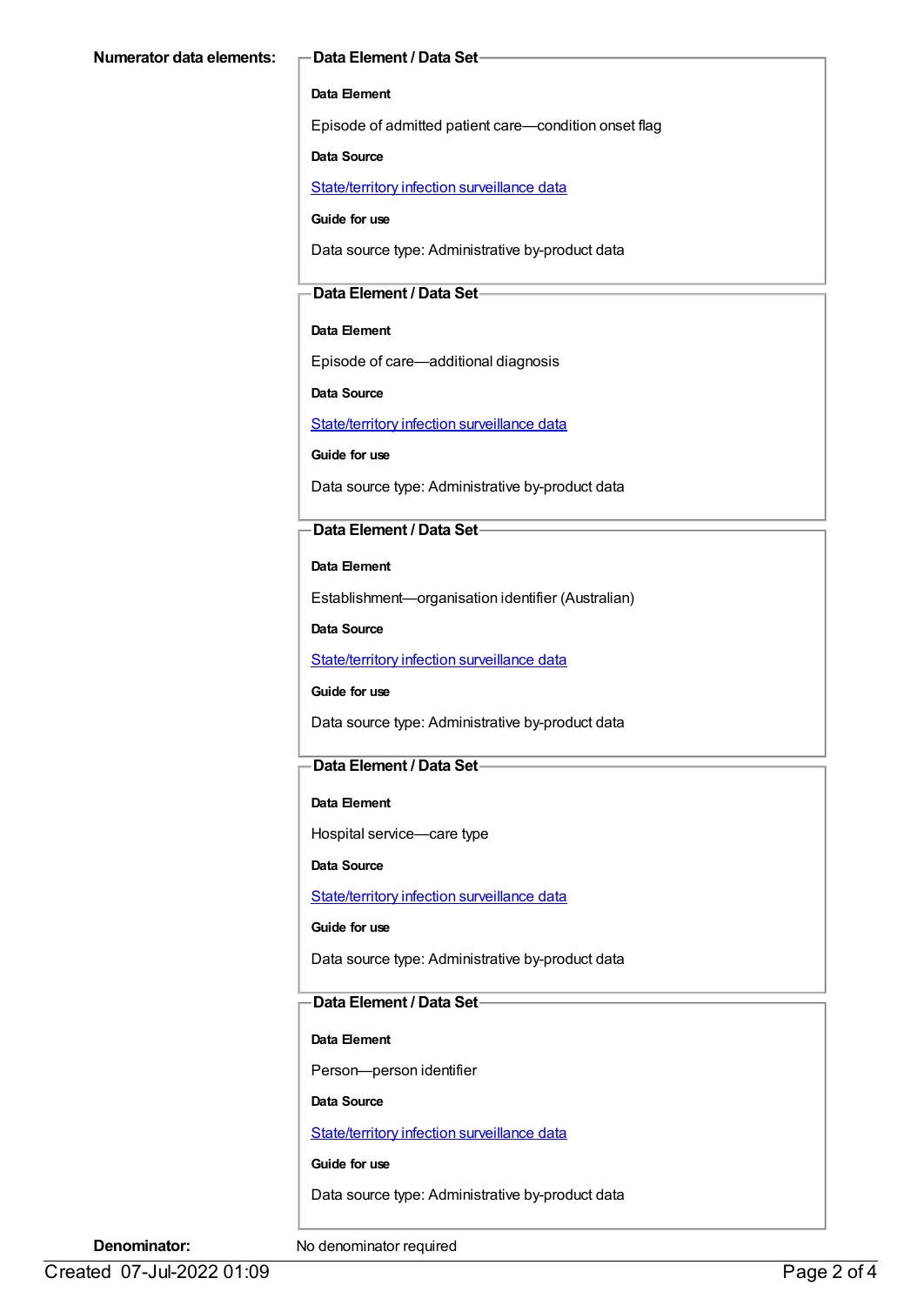#### **Data Element**

Episode of admitted patient care—condition onset flag

**Data Source**

[State/territory](https://meteor.aihw.gov.au/content/402699) infection surveillance data

**Guide for use**

Data source type: Administrative by-product data

#### **Data Element / Data Set**

#### **Data Element**

Episode of care—additional diagnosis

**Data Source**

[State/territory](https://meteor.aihw.gov.au/content/402699) infection surveillance data

**Guide for use**

Data source type: Administrative by-product data

#### **Data Element / Data Set**

**Data Element**

Establishment—organisation identifier (Australian)

**Data Source**

[State/territory](https://meteor.aihw.gov.au/content/402699) infection surveillance data

#### **Guide for use**

Data source type: Administrative by-product data

#### **Data Element / Data Set**

#### **Data Element**

Hospital service—care type

**Data Source**

[State/territory](https://meteor.aihw.gov.au/content/402699) infection surveillance data

#### **Guide for use**

Data source type: Administrative by-product data

#### **Data Element / Data Set**

#### **Data Element**

Person—person identifier

#### **Data Source**

[State/territory](https://meteor.aihw.gov.au/content/402699) infection surveillance data

#### **Guide for use**

Data source type: Administrative by-product data

**Denominator:** No denominator required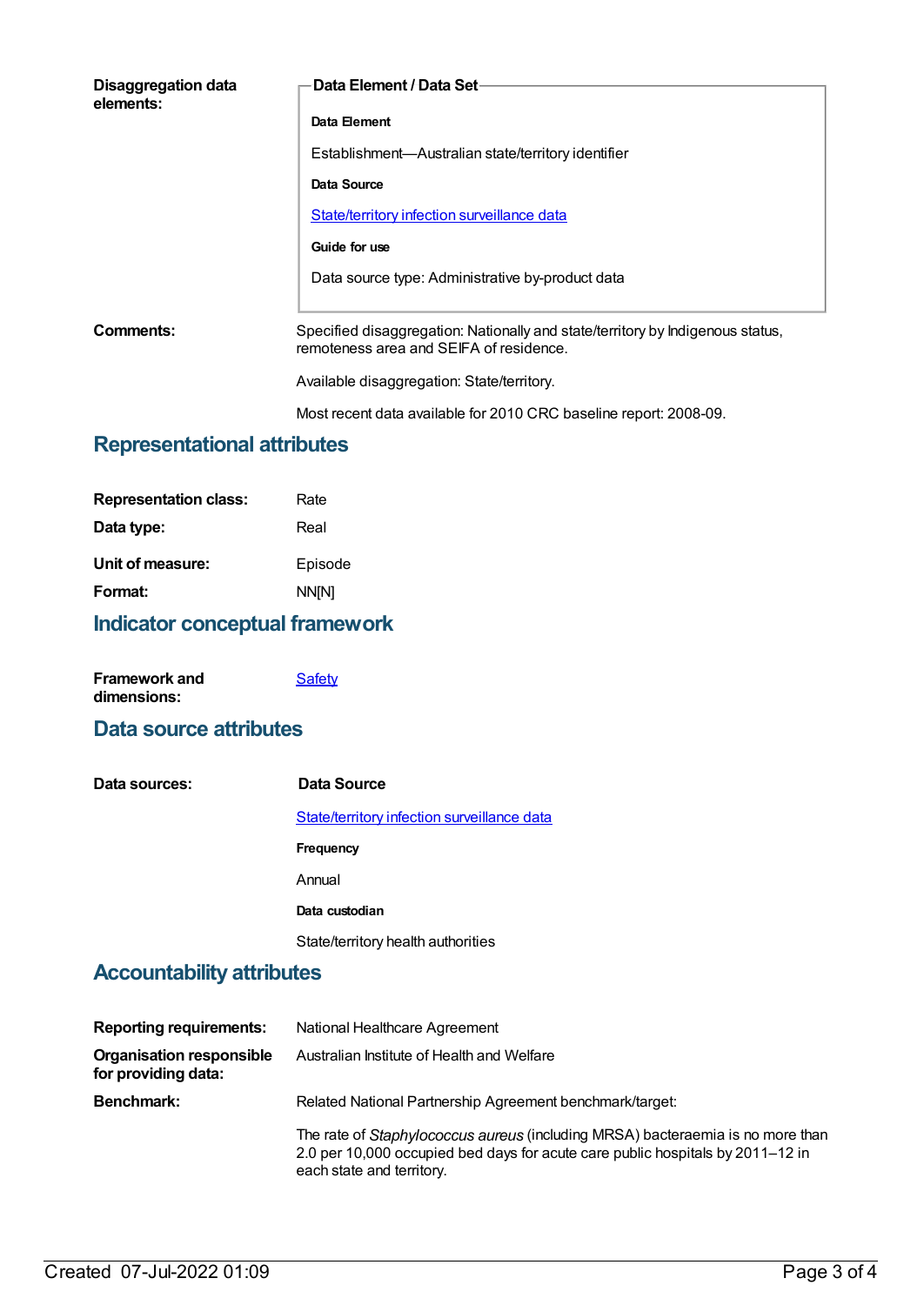| Disaggregation data<br>elements: | Data Element / Data Set-                                                                                                  |
|----------------------------------|---------------------------------------------------------------------------------------------------------------------------|
|                                  | Data Element                                                                                                              |
|                                  | Establishment—Australian state/territory identifier                                                                       |
|                                  | Data Source                                                                                                               |
|                                  | State/territory infection surveillance data                                                                               |
|                                  | Guide for use                                                                                                             |
|                                  | Data source type: Administrative by-product data                                                                          |
| Comments:                        | Specified disaggregation: Nationally and state/territory by Indigenous status,<br>remoteness area and SEIFA of residence. |
|                                  | Available disaggregation: State/territory.                                                                                |

#### Most recent data available for 2010 CRC baseline report: 2008-09.

# **Representational attributes**

| <b>Representation class:</b> | Rate    |
|------------------------------|---------|
| Data type:                   | Real    |
| Unit of measure:             | Episode |
| Format:                      | NN[N]   |
|                              |         |

# **Indicator conceptual framework**

| <b>Framework and</b> | Safety |
|----------------------|--------|
| dimensions:          |        |

### **Data source attributes**

| Data sources: | Data Source                                 |
|---------------|---------------------------------------------|
|               | State/territory infection surveillance data |
|               | <b>Frequency</b>                            |
|               | Annual                                      |
|               | Data custodian                              |
|               | State/territory health authorities          |

## **Accountability attributes**

| <b>Reporting requirements:</b>                         | National Healthcare Agreement                                                                                                                                                                 |
|--------------------------------------------------------|-----------------------------------------------------------------------------------------------------------------------------------------------------------------------------------------------|
| <b>Organisation responsible</b><br>for providing data: | Australian Institute of Health and Welfare                                                                                                                                                    |
| <b>Benchmark:</b>                                      | Related National Partnership Agreement benchmark/target:                                                                                                                                      |
|                                                        | The rate of Staphylococcus aureus (including MRSA) bacteraemia is no more than<br>2.0 per 10,000 occupied bed days for acute care public hospitals by 2011–12 in<br>each state and territory. |